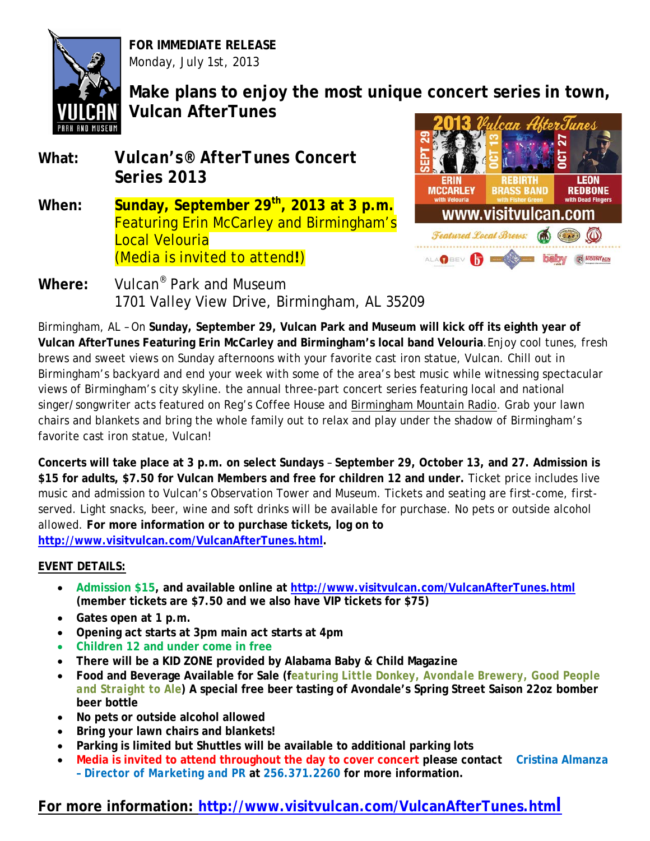

**FOR IMMEDIATE RELEASE** Monday, July 1st, 2013

**Make plans to enjoy the most unique concert series in town, Vulcan AfterTunes**

- **What:** *Vulcan's® AfterTunes Concert Series 2013*
- When: **Sunday, September 29<sup>th</sup>, 2013 at 3 p.m.** Featuring Erin McCarley and Birmingham's Local Velouria *(Media is invited to attend!)*



**Where:** Vulcan® Park and Museum 1701 Valley View Drive, Birmingham, AL 35209

Birmingham, AL – On **Sunday, September 29, Vulcan Park and Museum will kick off its eighth year of Vulcan AfterTunes Featuring Erin McCarley and Birmingham's local band Velouria**.Enjoy cool tunes, fresh brews and sweet views on Sunday afternoons with your favorite cast iron statue, Vulcan. Chill out in Birmingham's backyard and end your week with some of the area's best music while witnessing spectacular views of Birmingham's city skyline. the annual three-part concert series featuring local and national singer/songwriter acts featured on Reg's Coffee House and Birmingham Mountain Radio. Grab your lawn chairs and blankets and bring the whole family out to relax and play under the shadow of Birmingham's favorite cast iron statue, Vulcan!

**Concerts will take place at 3 p.m. on select Sundays** – **September 29, October 13, and 27. Admission is \$15 for adults, \$7.50 for Vulcan Members and free for children 12 and under.** Ticket price includes live music and admission to Vulcan's Observation Tower and Museum. Tickets and seating are first-come, firstserved. Light snacks, beer, wine and soft drinks will be available for purchase. No pets or outside alcohol allowed. **For more information or to purchase tickets, log on to [http://www.visitvulcan.com/VulcanAfterTunes.html.](http://www.visitvulcan.com/VulcanAfterTunes.html)**

### **EVENT DETAILS:**

- **Admission \$15, and available online at<http://www.visitvulcan.com/VulcanAfterTunes.html> (member tickets are \$7.50 and we also have VIP tickets for \$75)**
- **Gates open at 1 p.m.**
- **Opening act starts at 3pm main act starts at 4pm**
- **Children 12 and under come in free**
- **There will be a KID ZONE provided by Alabama Baby & Child Magazine**
- **Food and Beverage Available for Sale (f***eaturing Little Donkey, Avondale Brewery, Good People and Straight to Ale***) A special free beer tasting of Avondale's Spring Street Saison 22oz bomber beer bottle**
- **No pets or outside alcohol allowed**
- **Bring your lawn chairs and blankets!**
- **Parking is limited but Shuttles will be available to additional parking lots**
- **Media is invited to attend throughout the day to cover concert please contact Cristina Almanza –** *Director of Marketing and PR* **at 256.371.2260 for more information.**

## **For more information: <http://www.visitvulcan.com/VulcanAfterTunes.html>**